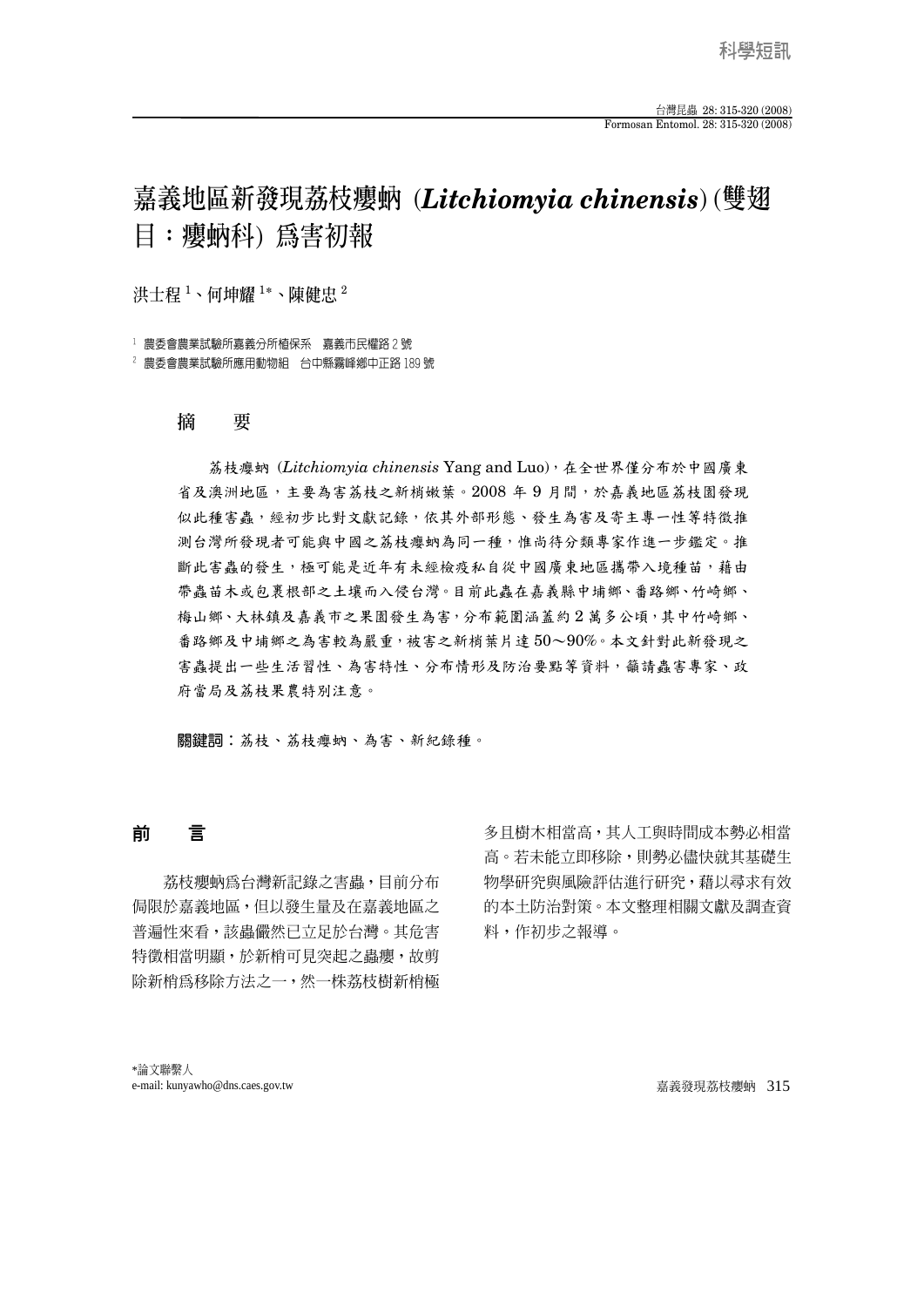# **嘉義地區新發現荔枝癭蚋** (*Litchiomyia chinensis*) (**雙翅 目:癭蚋科**) **為害初報**

**洪士程** <sup>1</sup> **、何坤耀** <sup>1</sup> **\*、陳健忠** <sup>2</sup>

1 農委會農業試驗所嘉義分所植保系 嘉義市民權路 2 號

2 農委會農業試驗所應用動物組 台中縣霧峰鄉中正路 189 號

## **摘 要**

荔枝癭蚋 (*Litchiomyia chinensis* Yang and Luo),在全世界僅分布於中國廣東 省及澳洲地區,主要為害荔枝之新梢嫩葉。2008 年 9 月間,於嘉義地區荔枝園發現 似此種害蟲,經初步比對文獻記錄,依其外部形態、發生為害及寄主專一性等特徵推 測台灣所發現者可能與中國之荔枝癭蚋為同一種,惟尚待分類專家作進一步鑑定。推 斷此害蟲的發生,極可能是近年有未經檢疫私自從中國廣東地區攜帶入境種苗,藉由 帶蟲苗木或包裹根部之土壤而入侵台灣。目前此蟲在嘉義縣中埔鄉、番路鄉、竹崎鄉、 梅山鄉、大林鎮及嘉義市之果園發生為害,分布範圍涵蓋約2萬多公頃,其中竹崎鄉、 番路鄉及中埔鄉之為害較為嚴重,被害之新梢葉片達 50~90%。本文針對此新發現之 害蟲提出一些生活習性、為害特性、分布情形及防治要點等資料,籲請蟲害專家、政 府當局及荔枝果農特別注意。

關鍵詞:荔枝、荔枝癭蚋、為害、新紀錄種。

## 前 言

 荔枝癭蚋為台灣新記錄之害蟲,目前分布 侷限於嘉義地區,但以發生量及在嘉義地區之 普遍性來看,該蟲儼然已立足於台灣。其危害 特徵相當明顯,於新梢可見突起之蟲癭,故剪 除新梢為移除方法之一,然一株荔枝樹新梢極 多且樹木相當高,其人工與時間成本勢必相當 高。若未能立即移除,則勢必儘快就其基礎生 物學研究與風險評估進行研究,藉以尋求有效 的本土防治對策。本文整理相關文獻及調查資 料,作初步之報導。

\*論文聯繫人 e-mail: kunyawho@dns.caes.gov.tw 嘉義發現荔枝癭蚋 315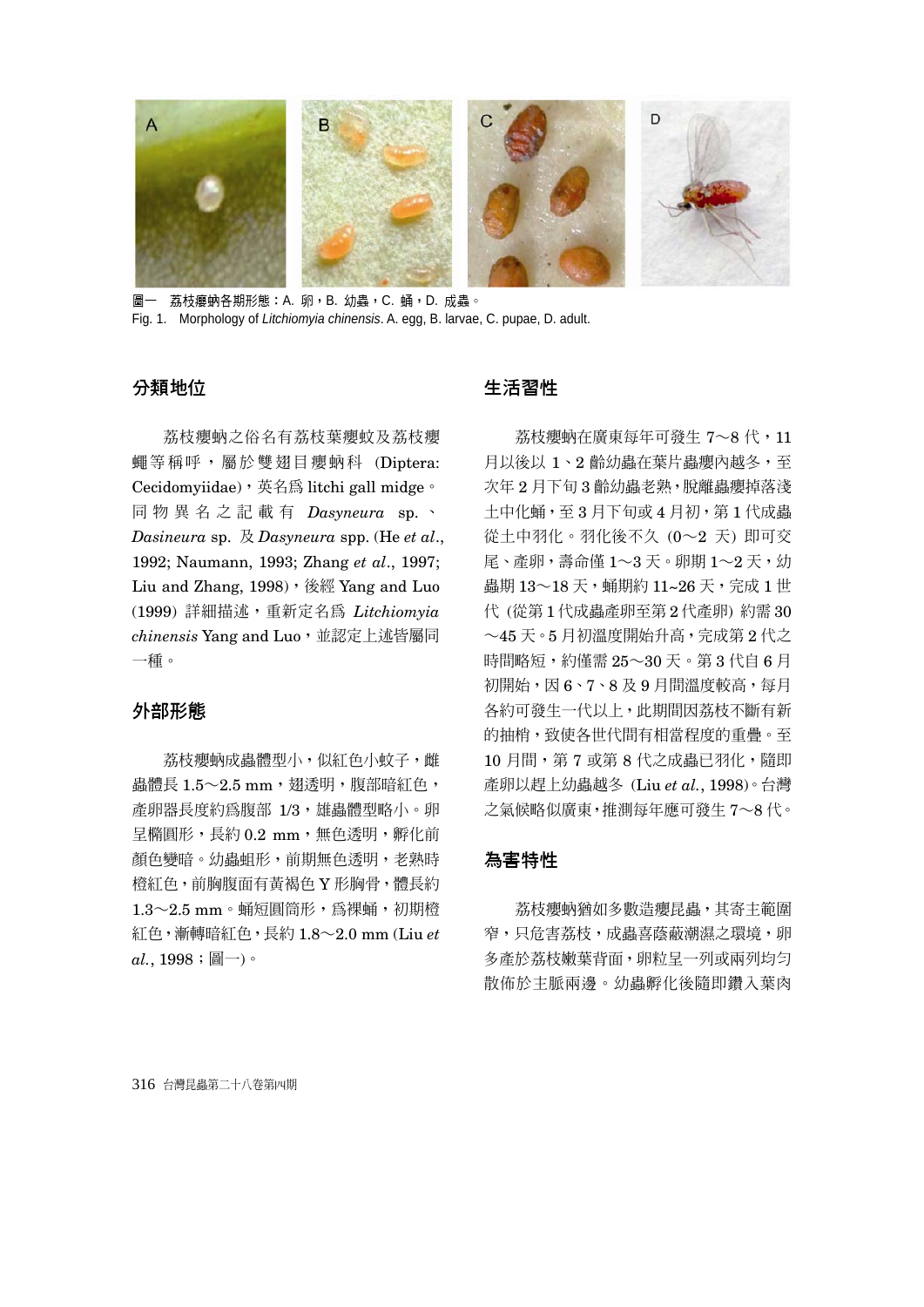

圖一 荔枝癭蚋各期形態:A. 卵,B. 幼蟲,C. 蛹,D. 成蟲。 Fig. 1. Morphology of *Litchiomyia chinensis*. A. egg, B. larvae, C. pupae, D. adult.

#### 分類地位

荔枝癭蚋之俗名有荔枝葉癭蚊及荔枝癭 蠅等稱呼,屬於雙翅目癭蚋科 (Diptera: Cecidomyiidae),英名為 litchi gall midge。 同物異名之記載有 *Dasyneura* sp. 、 *Dasineura* sp. 及 *Dasyneura* spp. (He *et al*., 1992; Naumann, 1993; Zhang *et al*., 1997; Liu and Zhang, 1998), 後經 Yang and Luo (1999) 詳細描述,重新定名為 *Litchiomyia chinensis* Yang and Luo,並認定上述皆屬同 一種。

#### 外部形態

荔枝癭蚋成蟲體型小,似紅色小蚊子,雌 蟲體長  $1.5 - 2.5$  mm, 翅透明, 腹部暗紅色, 產卵器長度約為腹部 1/3,雄蟲體型略小。卵 呈橢圓形,長約 0.2 mm, 無色透明,孵化前 顏色變暗。幼蟲蛆形,前期無色透明,老熟時 橙紅色,前胸腹面有黃褐色 Y 形胸骨,體長約  $1.3\sim2.5$  mm。蛹短圓筒形,為裸蛹,初期橙 紅色,漸轉暗紅色,長約 1.8~2.0 mm (Liu *et*   $al., 1998:$ 圖一)。

## 生活習性

荔枝癭蚋在廣東每年可發生 7~8代,11 月以後以 1、2 齡幼蟲在葉片蟲癭內越冬,至 次年2月下旬3 齡幼蟲老熟,脫離蟲癭掉落淺 土中化蛹,至 3 月下旬或 4 月初,第 1 代成蟲 從土中羽化。羽化後不久 (0~2 天) 即可交 尾、產卵,壽命僅 $1 \sim$ 3天。卵期 $1 \sim$ 2天,幼 蟲期 13~18天,蛹期約 11~26天,完成1世 代 (從第 1 代成蟲產卵至第 2 代產卵) 約需 30 ~45 天。5 月初溫度開始升高,完成第 2 代之 時間略短,約僅需 25~30天。第3代自6月 初開始,因 6、7、8及9月間溫度較高,每月 各約可發生一代以上,此期間因荔枝不斷有新 的抽梢,致使各世代間有相當程度的重疊。至 10 月間, 第 7 或第 8 代之成蟲已羽化, 隨即 產卵以趕上幼蟲越冬 (Liu *et al.*, 1998)。台灣 之氣候略似廣東,推測每年應可發生 7~8 代。

## 為害特性

荔枝癭蚋猶如多數造癭昆蟲,其寄主範圍 窄,只危害荔枝,成蟲喜蔭蔽潮濕之環境,卵 多產於荔枝嫩葉背面,卵粒呈一列或兩列均勻 散佈於主脈兩邊。幼蟲孵化後隨即鑽入葉肉

316 台灣昆蟲第二十八卷第四期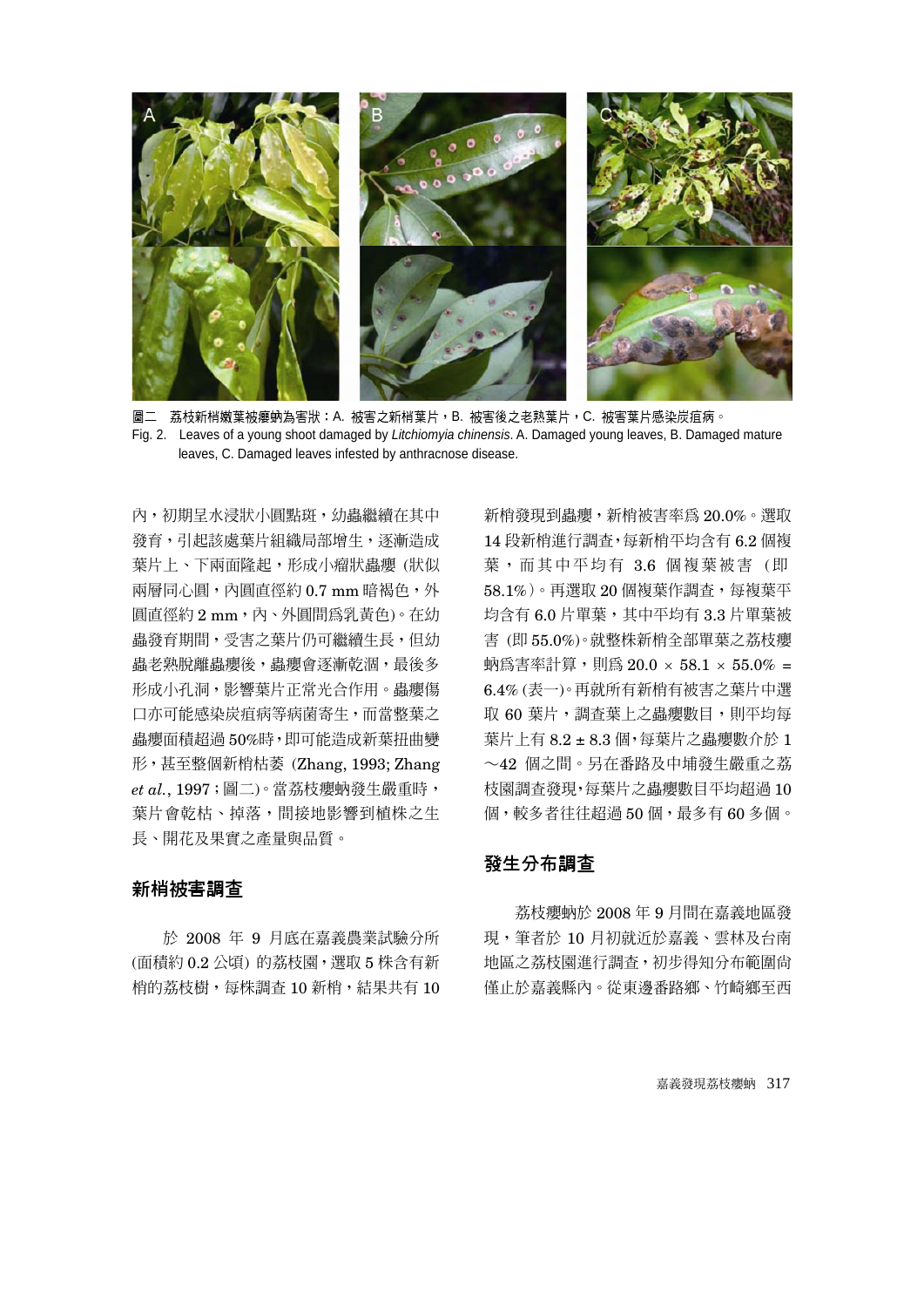

圖二 荔枝新梢嫩葉被癭蚋為害狀:A. 被害之新梢葉片,B. 被害後之老熟葉片,C. 被害葉片感染炭疽病。 Fig. 2. Leaves of a young shoot damaged by *Litchiomyia chinensis*. A. Damaged young leaves, B. Damaged mature leaves, C. Damaged leaves infested by anthracnose disease.

內,初期早水浸狀小圓點斑,幼蟲繼續在其中 發育,引起該處葉片組織局部增生,逐漸造成 葉片上、下兩面隆起,形成小瘤狀蟲癭(狀似 兩層同心圓,內圓直徑約 0.7 mm 暗褐色,外 圓直徑約 2 mm,內、外圓間為乳黃色)。在幼 蟲發育期間,受害之葉片仍可繼續生長,但幼 蟲老熟脫離蟲癭後,蟲癭會逐漸乾涸,最後多 形成小孔洞,影響葉片正常光合作用。蟲癭傷 口亦可能感染炭疽病等病菌寄生,而當整葉之 蟲癭面積超過 50%時,即可能造成新葉扭曲變 形,甚至整個新梢枯萎 (Zhang, 1993; Zhang *et al.*, 1997;圖二)。當荔枝癭蚋發生嚴重時, 葉片會乾枯、掉落,間接地影響到植株之生 長、開花及果實之產量與品質。

#### 新梢被害調查

於 2008 年 9 月底在嘉義農業試驗分所 (面積約 0.2 公頃) 的荔枝園,選取 5 株含有新 梢的荔枝樹,每株調杳 10 新梢,結果共有 10 新梢發現到蟲癭,新梢被害率為 20.0%。選取 14 段新梢進行調查,每新梢平均含有 6.2 個複 葉,而其中平均有 3.6 個複葉被害 (即 58.1%)。再選取 20 個複葉作調査,每複葉平 均含有 6.0 片單葉,其中平均有 3.3 片單葉被 害 (即 55.0%)。就整株新梢全部單葉之荔枝癭 蚋為害率計算,則為  $20.0 \times 58.1 \times 55.0\%$  = 6.4% (表一)。再就所有新梢有被害之葉片中選 取 60 葉片,調查葉上之蟲癭數目,則平均每 葉片上有 8.2 ± 8.3 個,每葉片之蟲癭數介於 1 ~42 個之間。另在番路及中埔發生嚴重之荔 枝園調查發現,每葉片之蟲癭數目平均超過 10 個,較多者往往超過 50 個,最多有 60 多個。

## 發生分布調查

荔枝癭蚋於 2008 年 9 月間在嘉義地區發 現, 筆者於 10 月初就沂於嘉義、雲林及台南 地區之荔枝園進行調查,初步得知分布範圍尚 僅止於嘉義縣內。從東邊番路鄉、竹崎鄉至西

嘉義發現荔枝癭蚋 317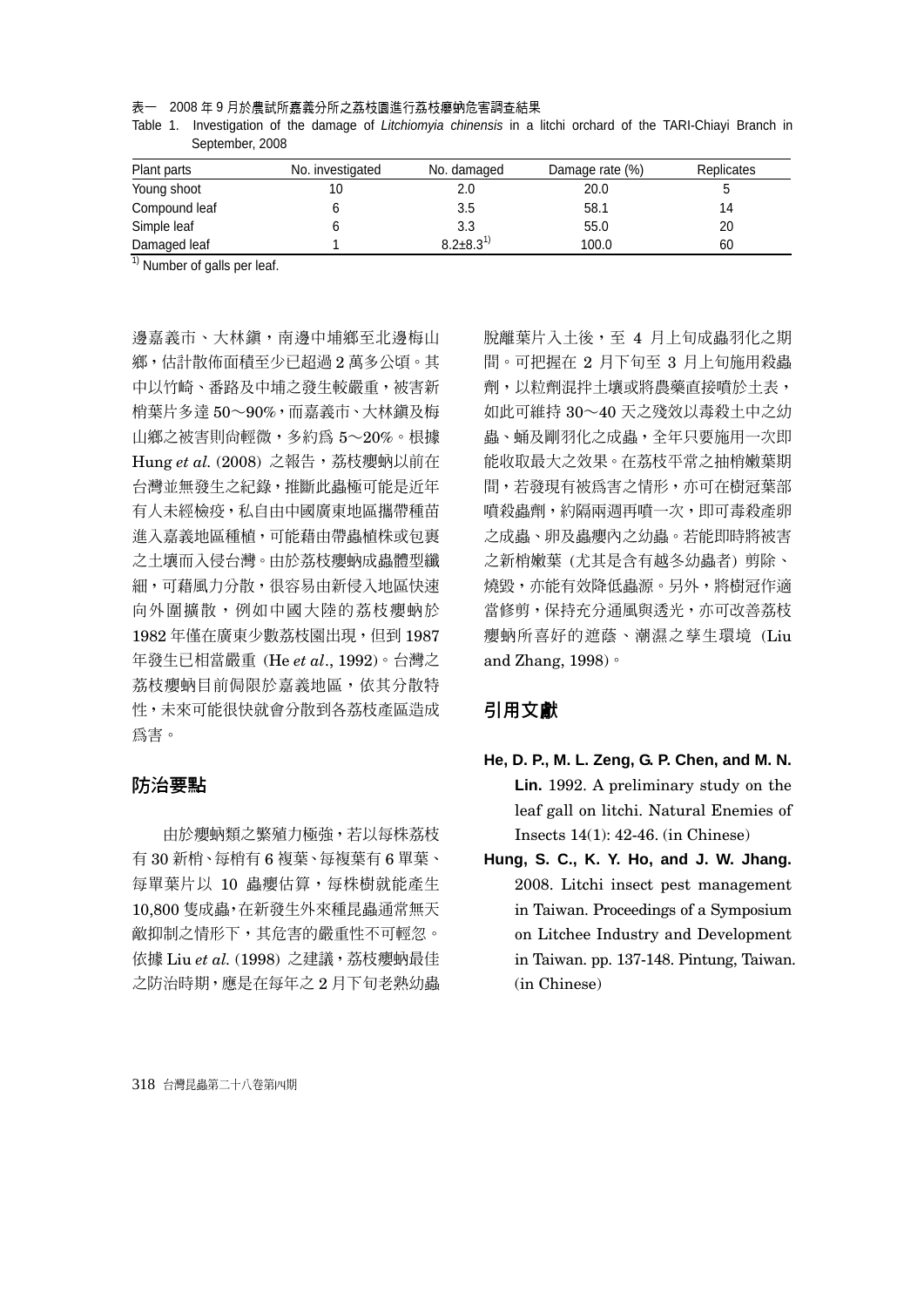表一 2008 年 9 月於農試所嘉義分所之荔枝園進行荔枝癭蚋危害調查結果

| Table 1. Investigation of the damage of Litchiomyia chinensis in a litchi orchard of the TARI-Chiayi Branch in |  |  |  |  |  |
|----------------------------------------------------------------------------------------------------------------|--|--|--|--|--|
| September, 2008                                                                                                |  |  |  |  |  |

| Plant parts   | No. investigated | No. damaged       | Damage rate (%) | <b>Replicates</b> |
|---------------|------------------|-------------------|-----------------|-------------------|
| Young shoot   |                  | 2.0               | 20.0            |                   |
| Compound leaf |                  | 3.5               | 58.1            | 14                |
| Simple leaf   |                  | 3.3               | 55.0            | 20                |
| Damaged leaf  |                  | $8.2 \pm 8.3^{1}$ | 100.0           | 60                |

 $<sup>1</sup>$  Number of galls per leaf.</sup>

邊嘉義市、大林鎮,南邊中埔鄉至北邊梅山 鄉,估計散佈面積至少已超過 2 萬多公頃。其 中以竹崎、番路及中埔之發生較嚴重,被害新 梢葉片多達 50~90%,而嘉義市、大林鎮及梅 山鄉之被害則尚輕微,多約為 5~20%。根據 Hung et al. (2008) 之報告,荔枝癭蚋以前在 台灣並無發生之紀錄,推斷此蟲極可能是近年 有人未經檢疫,私自由中國廣東地區攜帶種苗 進入嘉義地區種植,可能藉由帶蟲植株或包裹 之土壤而入侵台灣。由於荔枝癭蚋成蟲體型纖 細,可藉風力分散,很容易由新侵入地區快速 向外圍擴散,例如中國大陸的荔枝癭蚋於 1982年僅在廣東少數荔枝園出現,但到1987 年發生已相當嚴重 (He *et al*., 1992)。台灣之 荔枝癭蚋目前侷限於嘉義地區,依其分散特 性,未來可能很快就會分散到各荔枝產區造成 為害。

#### 防治要點

由於癭蚋類之繁殖力極強,若以每株荔枝 有 30 新梢、每梢有 6 複葉、每複葉有 6 單葉、 每單葉片以 10 蟲癭估算,每株樹就能產生 10,800 隻成蟲,在新發生外來種昆蟲通常無天 敵抑制之情形下,其危害的嚴重性不可輕忽。 依據 Liu et al. (1998) 之建議,荔枝癭蚋最佳 之防治時期,應是在每年之 2 月下旬老熟幼蟲 脫離葉片入土後,至 4 月上旬成蟲羽化之期 間。可把握在 2 月下旬至 3 月上旬施用殺蟲 劑,以粒劑混拌土壤或將農藥直接噴於土表, 如此可維持 30~40 天之殘效以毒殺土中之幼 蟲、蛹及剛羽化之成蟲,全年只要施用一次即 能收取最大之效果。在荔枝平常之抽梢嫩葉期 間,若發現有被為害之情形,亦可在樹冠葉部 噴殺蟲劑,約隔兩週再噴一次,即可毒殺產卵 之成蟲、卵及蟲癭內之幼蟲。若能即時將被害 之新梢嫩葉 (尤其是含有越冬幼蟲者) 剪除、 燒毀,亦能有效降低蟲源。另外,將樹冠作適 當修剪,保持充分通風與透光,亦可改善荔枝 癭蚋所喜好的遮蔭、潮濕之孳生環境 (Liu and Zhang, 1998)。

## 引用文獻

- **He, D. P., M. L. Zeng, G. P. Chen, and M. N. Lin.** 1992. A preliminary study on the leaf gall on litchi. Natural Enemies of Insects 14(1): 42-46. (in Chinese)
- **Hung, S. C., K. Y. Ho, and J. W. Jhang.** 2008. Litchi insect pest management in Taiwan. Proceedings of a Symposium on Litchee Industry and Development in Taiwan. pp. 137-148. Pintung, Taiwan. (in Chinese)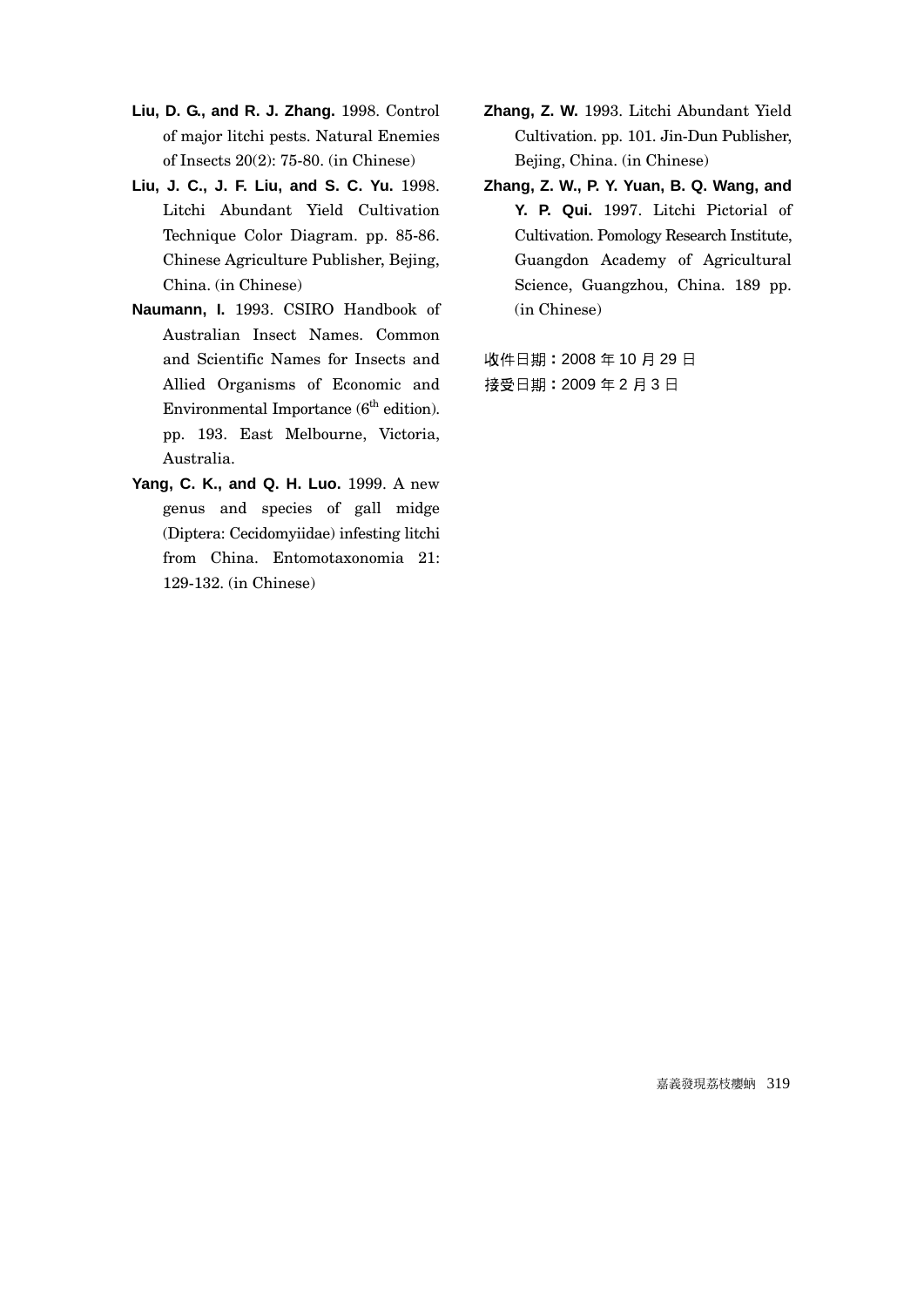- **Liu, D. G., and R. J. Zhang.** 1998. Control of major litchi pests. Natural Enemies of Insects 20(2): 75-80. (in Chinese)
- **Liu, J. C., J. F. Liu, and S. C. Yu.** 1998. Litchi Abundant Yield Cultivation Technique Color Diagram. pp. 85-86. Chinese Agriculture Publisher, Bejing, China. (in Chinese)
- **Naumann, I.** 1993. CSIRO Handbook of Australian Insect Names. Common and Scientific Names for Insects and Allied Organisms of Economic and Environmental Importance  $(6^{th}$  edition). pp. 193. East Melbourne, Victoria, Australia.
- **Yang, C. K., and Q. H. Luo.** 1999. A new genus and species of gall midge (Diptera: Cecidomyiidae) infesting litchi from China. Entomotaxonomia 21: 129-132. (in Chinese)
- **Zhang, Z. W.** 1993. Litchi Abundant Yield Cultivation. pp. 101. Jin-Dun Publisher, Bejing, China. (in Chinese)
- **Zhang, Z. W., P. Y. Yuan, B. Q. Wang, and Y. P. Qui.** 1997. Litchi Pictorial of Cultivation. Pomology Research Institute, Guangdon Academy of Agricultural Science, Guangzhou, China. 189 pp. (in Chinese)

收件日期:2008 年 10 月 29 日 接受日期:2009 年 2 月 3 日